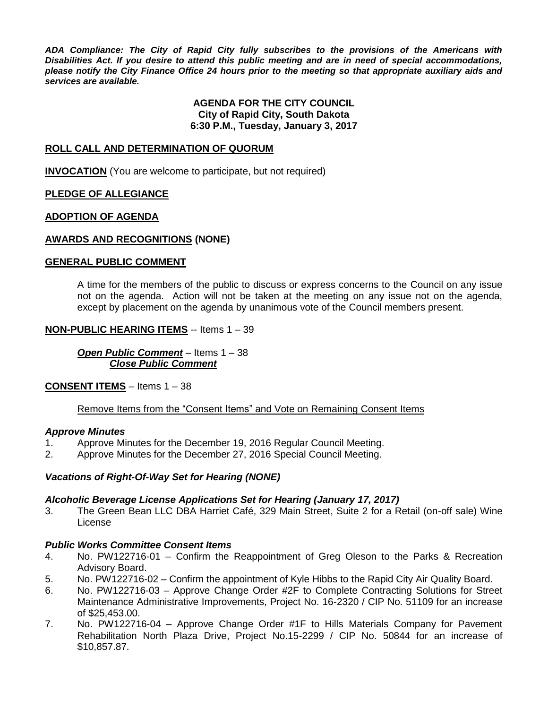*ADA Compliance: The City of Rapid City fully subscribes to the provisions of the Americans with Disabilities Act. If you desire to attend this public meeting and are in need of special accommodations, please notify the City Finance Office 24 hours prior to the meeting so that appropriate auxiliary aids and services are available.*

#### **AGENDA FOR THE CITY COUNCIL City of Rapid City, South Dakota 6:30 P.M., Tuesday, January 3, 2017**

#### **ROLL CALL AND DETERMINATION OF QUORUM**

**INVOCATION** (You are welcome to participate, but not required)

#### **PLEDGE OF ALLEGIANCE**

#### **ADOPTION OF AGENDA**

#### **AWARDS AND RECOGNITIONS (NONE)**

#### **GENERAL PUBLIC COMMENT**

A time for the members of the public to discuss or express concerns to the Council on any issue not on the agenda. Action will not be taken at the meeting on any issue not on the agenda, except by placement on the agenda by unanimous vote of the Council members present.

#### **NON-PUBLIC HEARING ITEMS** -- Items 1 – 39

*Open Public Comment* – Items 1 – 38 *Close Public Comment*

#### **CONSENT ITEMS** – Items 1 – 38

Remove Items from the "Consent Items" and Vote on Remaining Consent Items

#### *Approve Minutes*

- 1. Approve Minutes for the December 19, 2016 Regular Council Meeting.
- 2. Approve Minutes for the December 27, 2016 Special Council Meeting.

#### *Vacations of Right-Of-Way Set for Hearing (NONE)*

#### *Alcoholic Beverage License Applications Set for Hearing (January 17, 2017)*

3. The Green Bean LLC DBA Harriet Café, 329 Main Street, Suite 2 for a Retail (on-off sale) Wine License

#### *Public Works Committee Consent Items*

- 4. No. PW122716-01 Confirm the Reappointment of Greg Oleson to the Parks & Recreation Advisory Board.
- 5. No. PW122716-02 Confirm the appointment of Kyle Hibbs to the Rapid City Air Quality Board.
- 6. No. PW122716-03 Approve Change Order #2F to Complete Contracting Solutions for Street Maintenance Administrative Improvements, Project No. 16-2320 / CIP No. 51109 for an increase of \$25,453.00.
- 7. No. PW122716-04 Approve Change Order #1F to Hills Materials Company for Pavement Rehabilitation North Plaza Drive, Project No.15-2299 / CIP No. 50844 for an increase of \$10,857.87.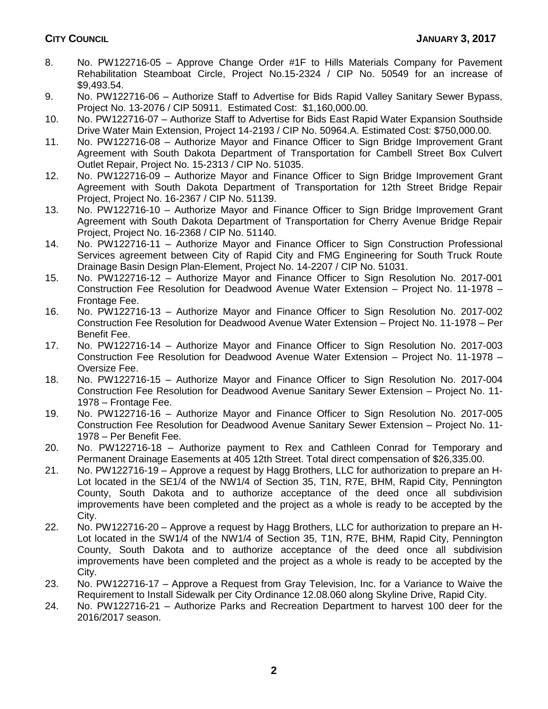- 8. No. PW122716-05 Approve Change Order #1F to Hills Materials Company for Pavement Rehabilitation Steamboat Circle, Project No.15-2324 / CIP No. 50549 for an increase of \$9,493.54.
- 9. No. PW122716-06 Authorize Staff to Advertise for Bids Rapid Valley Sanitary Sewer Bypass, Project No. 13-2076 / CIP 50911. Estimated Cost: \$1,160,000.00.
- 10. No. PW122716-07 Authorize Staff to Advertise for Bids East Rapid Water Expansion Southside Drive Water Main Extension, Project 14-2193 / CIP No. 50964.A. Estimated Cost: \$750,000.00.
- 11. No. PW122716-08 Authorize Mayor and Finance Officer to Sign Bridge Improvement Grant Agreement with South Dakota Department of Transportation for Cambell Street Box Culvert Outlet Repair, Project No. 15-2313 / CIP No. 51035.
- 12. No. PW122716-09 Authorize Mayor and Finance Officer to Sign Bridge Improvement Grant Agreement with South Dakota Department of Transportation for 12th Street Bridge Repair Project, Project No. 16-2367 / CIP No. 51139.
- 13. No. PW122716-10 Authorize Mayor and Finance Officer to Sign Bridge Improvement Grant Agreement with South Dakota Department of Transportation for Cherry Avenue Bridge Repair Project, Project No. 16-2368 / CIP No. 51140.
- 14. No. PW122716-11 Authorize Mayor and Finance Officer to Sign Construction Professional Services agreement between City of Rapid City and FMG Engineering for South Truck Route Drainage Basin Design Plan-Element, Project No. 14-2207 / CIP No. 51031.
- 15. No. PW122716-12 Authorize Mayor and Finance Officer to Sign Resolution No. 2017-001 Construction Fee Resolution for Deadwood Avenue Water Extension – Project No. 11-1978 – Frontage Fee.
- 16. No. PW122716-13 Authorize Mayor and Finance Officer to Sign Resolution No. 2017-002 Construction Fee Resolution for Deadwood Avenue Water Extension – Project No. 11-1978 – Per Benefit Fee.
- 17. No. PW122716-14 Authorize Mayor and Finance Officer to Sign Resolution No. 2017-003 Construction Fee Resolution for Deadwood Avenue Water Extension – Project No. 11-1978 – Oversize Fee.
- 18. No. PW122716-15 Authorize Mayor and Finance Officer to Sign Resolution No. 2017-004 Construction Fee Resolution for Deadwood Avenue Sanitary Sewer Extension – Project No. 11- 1978 – Frontage Fee.
- 19. No. PW122716-16 Authorize Mayor and Finance Officer to Sign Resolution No. 2017-005 Construction Fee Resolution for Deadwood Avenue Sanitary Sewer Extension – Project No. 11- 1978 – Per Benefit Fee.
- 20. No. PW122716-18 Authorize payment to Rex and Cathleen Conrad for Temporary and Permanent Drainage Easements at 405 12th Street. Total direct compensation of \$26,335.00.
- 21. No. PW122716-19 Approve a request by Hagg Brothers, LLC for authorization to prepare an H-Lot located in the SE1/4 of the NW1/4 of Section 35, T1N, R7E, BHM, Rapid City, Pennington County, South Dakota and to authorize acceptance of the deed once all subdivision improvements have been completed and the project as a whole is ready to be accepted by the City.
- 22. No. PW122716-20 Approve a request by Hagg Brothers, LLC for authorization to prepare an H-Lot located in the SW1/4 of the NW1/4 of Section 35, T1N, R7E, BHM, Rapid City, Pennington County, South Dakota and to authorize acceptance of the deed once all subdivision improvements have been completed and the project as a whole is ready to be accepted by the City.
- 23. No. PW122716-17 Approve a Request from Gray Television, Inc. for a Variance to Waive the Requirement to Install Sidewalk per City Ordinance 12.08.060 along Skyline Drive, Rapid City.
- 24. No. PW122716-21 Authorize Parks and Recreation Department to harvest 100 deer for the 2016/2017 season.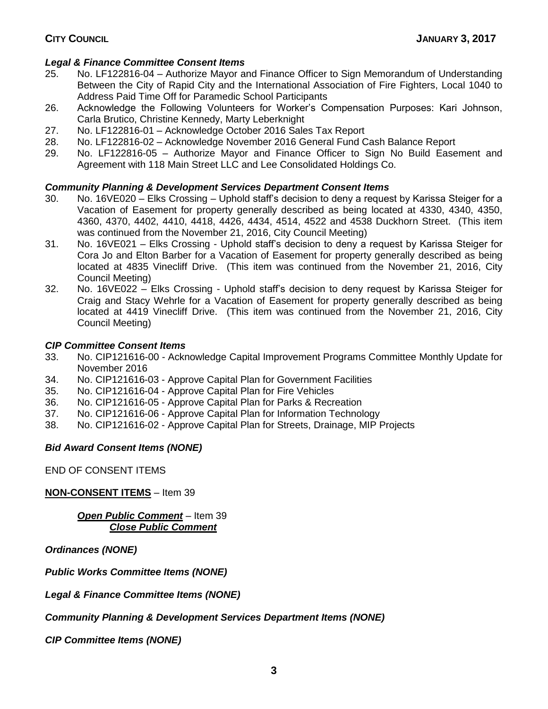## *Legal & Finance Committee Consent Items*

- 25. No. LF122816-04 Authorize Mayor and Finance Officer to Sign Memorandum of Understanding Between the City of Rapid City and the International Association of Fire Fighters, Local 1040 to Address Paid Time Off for Paramedic School Participants
- 26. Acknowledge the Following Volunteers for Worker's Compensation Purposes: Kari Johnson, Carla Brutico, Christine Kennedy, Marty Leberknight
- 27. No. LF122816-01 Acknowledge October 2016 Sales Tax Report
- 28. No. LF122816-02 Acknowledge November 2016 General Fund Cash Balance Report
- 29. No. LF122816-05 Authorize Mayor and Finance Officer to Sign No Build Easement and Agreement with 118 Main Street LLC and Lee Consolidated Holdings Co.

## *Community Planning & Development Services Department Consent Items*

- 30. No. 16VE020 Elks Crossing Uphold staff's decision to deny a request by Karissa Steiger for a Vacation of Easement for property generally described as being located at 4330, 4340, 4350, 4360, 4370, 4402, 4410, 4418, 4426, 4434, 4514, 4522 and 4538 Duckhorn Street. (This item was continued from the November 21, 2016, City Council Meeting)
- 31. No. 16VE021 Elks Crossing Uphold staff's decision to deny a request by Karissa Steiger for Cora Jo and Elton Barber for a Vacation of Easement for property generally described as being located at 4835 Vinecliff Drive. (This item was continued from the November 21, 2016, City Council Meeting)
- 32. No. 16VE022 Elks Crossing Uphold staff's decision to deny request by Karissa Steiger for Craig and Stacy Wehrle for a Vacation of Easement for property generally described as being located at 4419 Vinecliff Drive. (This item was continued from the November 21, 2016, City Council Meeting)

## *CIP Committee Consent Items*

- 33. No. CIP121616-00 Acknowledge Capital Improvement Programs Committee Monthly Update for November 2016
- 34. No. CIP121616-03 Approve Capital Plan for Government Facilities
- 35. No. CIP121616-04 Approve Capital Plan for Fire Vehicles
- 36. No. CIP121616-05 Approve Capital Plan for Parks & Recreation
- 37. No. CIP121616-06 Approve Capital Plan for Information Technology
- 38. No. CIP121616-02 Approve Capital Plan for Streets, Drainage, MIP Projects

## *Bid Award Consent Items (NONE)*

END OF CONSENT ITEMS

**NON-CONSENT ITEMS** – Item 39

*Open Public Comment* – Item 39 *Close Public Comment*

*Ordinances (NONE)*

*Public Works Committee Items (NONE)*

*Legal & Finance Committee Items (NONE)*

*Community Planning & Development Services Department Items (NONE)*

*CIP Committee Items (NONE)*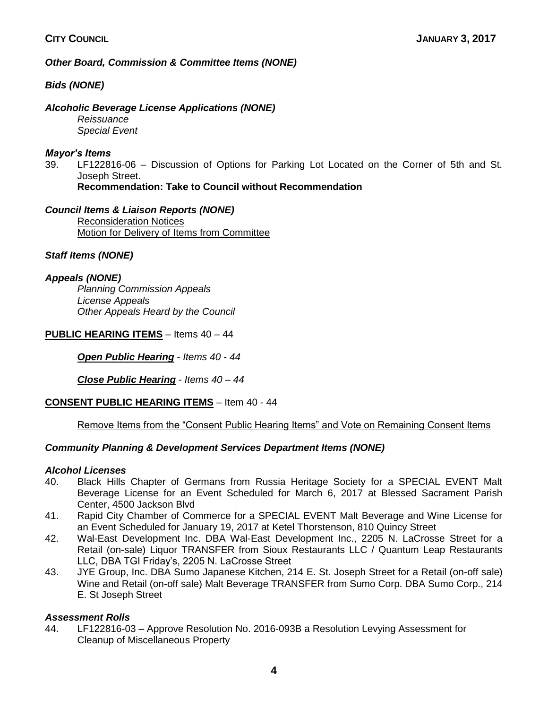*Other Board, Commission & Committee Items (NONE)*

*Bids (NONE)*

## *Alcoholic Beverage License Applications (NONE)*

*Reissuance Special Event*

## *Mayor's Items*

39. LF122816-06 – Discussion of Options for Parking Lot Located on the Corner of 5th and St. Joseph Street.

**Recommendation: Take to Council without Recommendation**

*Council Items & Liaison Reports (NONE)* Reconsideration Notices Motion for Delivery of Items from Committee

## *Staff Items (NONE)*

## *Appeals (NONE)*

*Planning Commission Appeals License Appeals Other Appeals Heard by the Council*

**PUBLIC HEARING ITEMS** – Items 40 – 44

*Open Public Hearing* - *Items 40 - 44*

*Close Public Hearing* - *Items 40 – 44*

## **CONSENT PUBLIC HEARING ITEMS** – Item 40 - 44

## Remove Items from the "Consent Public Hearing Items" and Vote on Remaining Consent Items

## *Community Planning & Development Services Department Items (NONE)*

## *Alcohol Licenses*

- 40. Black Hills Chapter of Germans from Russia Heritage Society for a SPECIAL EVENT Malt Beverage License for an Event Scheduled for March 6, 2017 at Blessed Sacrament Parish Center, 4500 Jackson Blvd
- 41. Rapid City Chamber of Commerce for a SPECIAL EVENT Malt Beverage and Wine License for an Event Scheduled for January 19, 2017 at Ketel Thorstenson, 810 Quincy Street
- 42. Wal-East Development Inc. DBA Wal-East Development Inc., 2205 N. LaCrosse Street for a Retail (on-sale) Liquor TRANSFER from Sioux Restaurants LLC / Quantum Leap Restaurants LLC, DBA TGI Friday's, 2205 N. LaCrosse Street
- 43. JYE Group, Inc. DBA Sumo Japanese Kitchen, 214 E. St. Joseph Street for a Retail (on-off sale) Wine and Retail (on-off sale) Malt Beverage TRANSFER from Sumo Corp. DBA Sumo Corp., 214 E. St Joseph Street

## *Assessment Rolls*

44. LF122816-03 – Approve Resolution No. 2016-093B a Resolution Levying Assessment for Cleanup of Miscellaneous Property